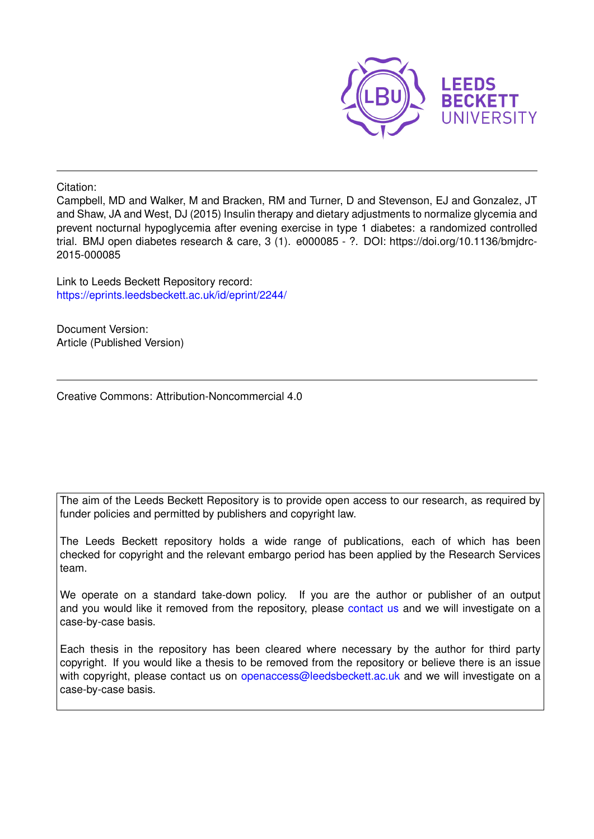

Citation:

Campbell, MD and Walker, M and Bracken, RM and Turner, D and Stevenson, EJ and Gonzalez, JT and Shaw, JA and West, DJ (2015) Insulin therapy and dietary adjustments to normalize glycemia and prevent nocturnal hypoglycemia after evening exercise in type 1 diabetes: a randomized controlled trial. BMJ open diabetes research & care, 3 (1). e000085 - ?. DOI: https://doi.org/10.1136/bmjdrc-2015-000085

Link to Leeds Beckett Repository record: <https://eprints.leedsbeckett.ac.uk/id/eprint/2244/>

Document Version: Article (Published Version)

Creative Commons: Attribution-Noncommercial 4.0

The aim of the Leeds Beckett Repository is to provide open access to our research, as required by funder policies and permitted by publishers and copyright law.

The Leeds Beckett repository holds a wide range of publications, each of which has been checked for copyright and the relevant embargo period has been applied by the Research Services team.

We operate on a standard take-down policy. If you are the author or publisher of an output and you would like it removed from the repository, please [contact us](mailto:openaccess@leedsbeckett.ac.uk) and we will investigate on a case-by-case basis.

Each thesis in the repository has been cleared where necessary by the author for third party copyright. If you would like a thesis to be removed from the repository or believe there is an issue with copyright, please contact us on [openaccess@leedsbeckett.ac.uk](mailto:openaccess@leedsbeckett.ac.uk) and we will investigate on a case-by-case basis.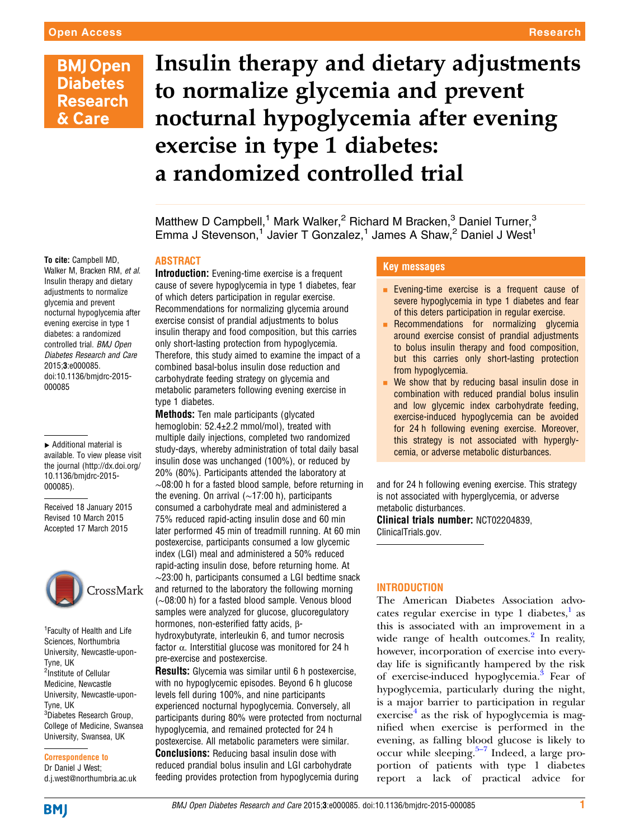# Insulin therapy and dietary adjustments to normalize glycemia and prevent nocturnal hypoglycemia after evening exercise in type 1 diabetes: a randomized controlled trial

Matthew D Campbell,<sup>1</sup> Mark Walker,<sup>2</sup> Richard M Bracken,<sup>3</sup> Daniel Turner,<sup>3</sup> Emma J Stevenson,<sup>1</sup> Javier T Gonzalez,<sup>1</sup> James A Shaw,<sup>2</sup> Daniel J West<sup>1</sup>

### ABSTRACT

To cite: Campbell MD, Walker M, Bracken RM, et al. Insulin therapy and dietary adjustments to normalize glycemia and prevent nocturnal hypoglycemia after evening exercise in type 1 diabetes: a randomized controlled trial. BMJ Open Diabetes Research and Care 2015;3:e000085. doi:10.1136/bmjdrc-2015- 000085

▸ Additional material is available. To view please visit the journal [\(http://dx.doi.org/](http://dx.doi.org/10.1136/bmjdrc-2015-000085) [10.1136/bmjdrc-2015-](http://dx.doi.org/10.1136/bmjdrc-2015-000085) [000085\)](http://dx.doi.org/10.1136/bmjdrc-2015-000085).

Received 18 January 2015 Revised 10 March 2015 Accepted 17 March 2015



<sup>1</sup> Faculty of Health and Life Sciences, Northumbria University, Newcastle-upon-Tyne, UK <sup>2</sup>Institute of Cellular Medicine, Newcastle University, Newcastle-upon-Tyne, UK <sup>3</sup>Diabetes Research Group, College of Medicine, Swansea University, Swansea, UK

Correspondence to Dr Daniel J West; d.j.west@northumbria.ac.uk Introduction: Evening-time exercise is a frequent cause of severe hypoglycemia in type 1 diabetes, fear of which deters participation in regular exercise. Recommendations for normalizing glycemia around exercise consist of prandial adjustments to bolus insulin therapy and food composition, but this carries only short-lasting protection from hypoglycemia. Therefore, this study aimed to examine the impact of a combined basal-bolus insulin dose reduction and carbohydrate feeding strategy on glycemia and metabolic parameters following evening exercise in type 1 diabetes.

**Methods:** Ten male participants (glycated hemoglobin: 52.4±2.2 mmol/mol), treated with multiple daily injections, completed two randomized study-days, whereby administration of total daily basal insulin dose was unchanged (100%), or reduced by 20% (80%). Participants attended the laboratory at ∼08:00 h for a fasted blood sample, before returning in the evening. On arrival (∼17:00 h), participants consumed a carbohydrate meal and administered a 75% reduced rapid-acting insulin dose and 60 min later performed 45 min of treadmill running. At 60 min postexercise, participants consumed a low glycemic index (LGI) meal and administered a 50% reduced rapid-acting insulin dose, before returning home. At ∼23:00 h, participants consumed a LGI bedtime snack and returned to the laboratory the following morning (∼08:00 h) for a fasted blood sample. Venous blood samples were analyzed for glucose, glucoregulatory hormones, non-esterified fatty acids, βhydroxybutyrate, interleukin 6, and tumor necrosis factor α. Interstitial glucose was monitored for 24 h pre-exercise and postexercise.

Results: Glycemia was similar until 6 h postexercise, with no hypoglycemic episodes. Beyond 6 h glucose levels fell during 100%, and nine participants experienced nocturnal hypoglycemia. Conversely, all participants during 80% were protected from nocturnal hypoglycemia, and remained protected for 24 h postexercise. All metabolic parameters were similar. **Conclusions:** Reducing basal insulin dose with reduced prandial bolus insulin and LGI carbohydrate feeding provides protection from hypoglycemia during

# Key messages

- **Exening-time exercise is a frequent cause of** severe hypoglycemia in type 1 diabetes and fear of this deters participation in regular exercise.
- Recommendations for normalizing glycemia around exercise consist of prandial adjustments to bolus insulin therapy and food composition, but this carries only short-lasting protection from hypoglycemia.
- $\blacksquare$  We show that by reducing basal insulin dose in combination with reduced prandial bolus insulin and low glycemic index carbohydrate feeding, exercise-induced hypoglycemia can be avoided for 24 h following evening exercise. Moreover, this strategy is not associated with hyperglycemia, or adverse metabolic disturbances.

and for 24 h following evening exercise. This strategy is not associated with hyperglycemia, or adverse metabolic disturbances.

Clinical trials number: NCT02204839, ClinicalTrials.gov.

# INTRODUCTION

The American Diabetes Association advo-cates regular exercise in type [1](#page-8-0) diabetes, $<sup>1</sup>$  as</sup> this is associated with an improvement in a wide range of health outcomes.<sup>[2](#page-8-0)</sup> In reality, however, incorporation of exercise into everyday life is significantly hampered by the risk of exercise-induced hypoglycemia.[3](#page-8-0) Fear of hypoglycemia, particularly during the night, is a major barrier to participation in regular exercise $4$  as the risk of hypoglycemia is magnified when exercise is performed in the evening, as falling b[lood](#page-8-0) glucose is likely to occur while sleeping. $5-7$  Indeed, a large proportion of patients with type 1 diabetes report a lack of practical advice for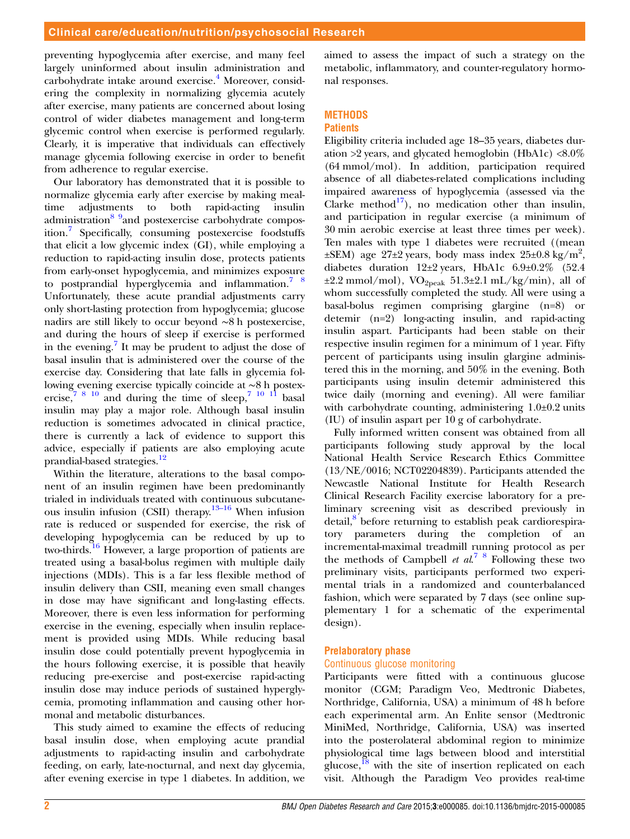preventing hypoglycemia after exercise, and many feel largely uninformed about insulin administration and carbohydrate intake around exercise.<sup>[4](#page-8-0)</sup> Moreover, considering the complexity in normalizing glycemia acutely after exercise, many patients are concerned about losing control of wider diabetes management and long-term glycemic control when exercise is performed regularly. Clearly, it is imperative that individuals can effectively manage glycemia following exercise in order to benefit from adherence to regular exercise.

Our laboratory has demonstrated that it is possible to normalize glycemia early after exercise by making mealtime adjustments to both rapid-acting insulin administration<sup>8</sup> 9and postexercise carbohydrate composition.[7](#page-8-0) Specifically, consuming postexercise foodstuffs that elicit a low glycemic index (GI), while employing a reduction to rapid-acting insulin dose, protects patients from early-onset hypoglycemia, and minimizes exposure to postprandial hyperglycemia and inflammation.<sup>7</sup>  $\frac{8}{3}$ Unfortunately, these acute prandial adjustments carry only short-lasting protection from hypoglycemia; glucose nadirs are still likely to occur beyond ∼8 h postexercise, and during the hours of sleep if exercise is performed in the evening.<sup>[7](#page-8-0)</sup> It may be prudent to adjust the dose of basal insulin that is administered over the course of the exercise day. Considering that late falls in glycemia following evening exercise typically coincide at ∼8 h postexercise,  $78^{10}$  and during the time of sleep,  $7^{10}$  11 basal insulin may play a major role. Although basal insulin reduction is sometimes advocated in clinical practice, there is currently a lack of evidence to support this advice, especially if patients are also employing acute prandial-based strategies.<sup>[12](#page-8-0)</sup>

Within the literature, alterations to the basal component of an insulin regimen have been predominantly trialed in individuals treated with continuous subcutaneous insulin infusion (CSII) therapy. $13-16$  $13-16$  When infusion rate is reduced or suspended for exercise, the risk of developing hypoglycemia can be reduced by up to two-thirds.[16](#page-8-0) However, a large proportion of patients are treated using a basal-bolus regimen with multiple daily injections (MDIs). This is a far less flexible method of insulin delivery than CSII, meaning even small changes in dose may have significant and long-lasting effects. Moreover, there is even less information for performing exercise in the evening, especially when insulin replacement is provided using MDIs. While reducing basal insulin dose could potentially prevent hypoglycemia in the hours following exercise, it is possible that heavily reducing pre-exercise and post-exercise rapid-acting insulin dose may induce periods of sustained hyperglycemia, promoting inflammation and causing other hormonal and metabolic disturbances.

This study aimed to examine the effects of reducing basal insulin dose, when employing acute prandial adjustments to rapid-acting insulin and carbohydrate feeding, on early, late-nocturnal, and next day glycemia, after evening exercise in type 1 diabetes. In addition, we

aimed to assess the impact of such a strategy on the metabolic, inflammatory, and counter-regulatory hormonal responses.

# **METHODS**

### **Patients**

Eligibility criteria included age 18–35 years, diabetes duration  $>2$  years, and glycated hemoglobin (HbA1c)  $<8.0\%$ (64 mmol/mol). In addition, participation required absence of all diabetes-related complications including impaired awareness of hypoglycemia (assessed via the Clarke method<sup>[17](#page-8-0)</sup>), no medication other than insulin, and participation in regular exercise (a minimum of 30 min aerobic exercise at least three times per week). Ten males with type 1 diabetes were recruited ((mean  $\pm$ SEM) age 27 $\pm$ 2 years, body mass index 25 $\pm$ 0.8 kg/m<sup>2</sup>, diabetes duration 12±2 years, HbA1c 6.9±0.2% (52.4  $\pm 2.2$  mmol/mol), VO<sub>2peak</sub> 51.3 $\pm 2.1$  mL/kg/min), all of whom successfully completed the study. All were using a basal-bolus regimen comprising glargine (n=8) or detemir (n=2) long-acting insulin, and rapid-acting insulin aspart. Participants had been stable on their respective insulin regimen for a minimum of 1 year. Fifty percent of participants using insulin glargine administered this in the morning, and 50% in the evening. Both participants using insulin detemir administered this twice daily (morning and evening). All were familiar with carbohydrate counting, administering  $1.0\pm0.2$  units (IU) of insulin aspart per 10 g of carbohydrate.

Fully informed written consent was obtained from all participants following study approval by the local National Health Service Research Ethics Committee (13/NE/0016; NCT02204839). Participants attended the Newcastle National Institute for Health Research Clinical Research Facility exercise laboratory for a preliminary screening visit as described previously in detail,<sup>[8](#page-8-0)</sup> before returning to establish peak cardiorespiratory parameters during the completion of an incremental-maximal treadmill running protocol as per the methods of Campbell et  $al^7$ <sup>8</sup> Following these two preliminary visits, participants performed two experimental trials in a randomized and counterbalanced fashion, which were separated by 7 days (see online supplementary 1 for a schematic of the experimental design).

# Prelaboratory phase

# Continuous glucose monitoring

Participants were fitted with a continuous glucose monitor (CGM; Paradigm Veo, Medtronic Diabetes, Northridge, California, USA) a minimum of 48 h before each experimental arm. An Enlite sensor (Medtronic MiniMed, Northridge, California, USA) was inserted into the posterolateral abdominal region to minimize physiological time lags between blood and interstitial glucose,<sup>[18](#page-8-0)</sup> with the site of insertion replicated on each visit. Although the Paradigm Veo provides real-time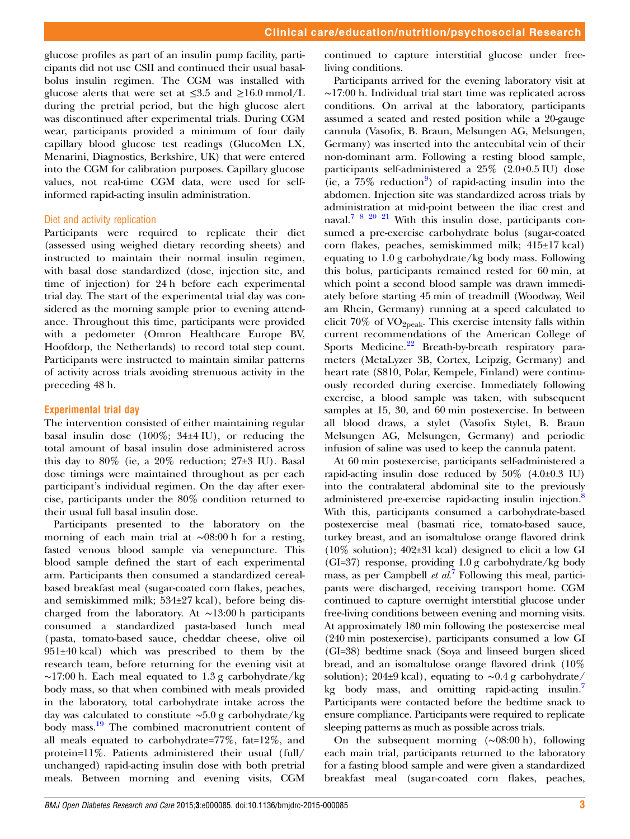glucose profiles as part of an insulin pump facility, participants did not use CSII and continued their usual basalbolus insulin regimen. The CGM was installed with glucose alerts that were set at  $\leq 3.5$  and  $\geq 16.0$  mmol/L during the pretrial period, but the high glucose alert was discontinued after experimental trials. During CGM wear, participants provided a minimum of four daily capillary blood glucose test readings (GlucoMen LX, Menarini, Diagnostics, Berkshire, UK) that were entered into the CGM for calibration purposes. Capillary glucose values, not real-time CGM data, were used for selfinformed rapid-acting insulin administration.

#### Diet and activity replication

Participants were required to replicate their diet (assessed using weighed dietary recording sheets) and instructed to maintain their normal insulin regimen, with basal dose standardized (dose, injection site, and time of injection) for 24 h before each experimental trial day. The start of the experimental trial day was considered as the morning sample prior to evening attendance. Throughout this time, participants were provided with a pedometer (Omron Healthcare Europe BV, Hoofdorp, the Netherlands) to record total step count. Participants were instructed to maintain similar patterns of activity across trials avoiding strenuous activity in the preceding 48 h.

#### Experimental trial day

The intervention consisted of either maintaining regular basal insulin dose (100%; 34±4 IU), or reducing the total amount of basal insulin dose administered across this day to  $80\%$  (ie, a  $20\%$  reduction;  $27\pm3$  IU). Basal dose timings were maintained throughout as per each participant's individual regimen. On the day after exercise, participants under the 80% condition returned to their usual full basal insulin dose.

Participants presented to the laboratory on the morning of each main trial at ∼08:00 h for a resting, fasted venous blood sample via venepuncture. This blood sample defined the start of each experimental arm. Participants then consumed a standardized cerealbased breakfast meal (sugar-coated corn flakes, peaches, and semiskimmed milk; 534±27 kcal), before being discharged from the laboratory. At ∼13:00 h participants consumed a standardized pasta-based lunch meal (pasta, tomato-based sauce, cheddar cheese, olive oil 951±40 kcal) which was prescribed to them by the research team, before returning for the evening visit at ∼17:00 h. Each meal equated to 1.3 g carbohydrate/kg body mass, so that when combined with meals provided in the laboratory, total carbohydrate intake across the day was calculated to constitute ∼5.0 g carbohydrate/kg body mass.<sup>[19](#page-8-0)</sup> The combined macronutrient content of all meals equated to carbohydrate=77%, fat=12%, and protein=11%. Patients administered their usual (full/ unchanged) rapid-acting insulin dose with both pretrial meals. Between morning and evening visits, CGM

continued to capture interstitial glucose under freeliving conditions.

Participants arrived for the evening laboratory visit at ∼17:00 h. Individual trial start time was replicated across conditions. On arrival at the laboratory, participants assumed a seated and rested position while a 20-gauge cannula (Vasofix, B. Braun, Melsungen AG, Melsungen, Germany) was inserted into the antecubital vein of their non-dominant arm. Following a resting blood sample, participants self-administered a 25% (2.0±0.5 IU) dose (ie, a  $75\%$  reduction<sup>[9](#page-8-0)</sup>) of rapid-acting insulin into the abdomen. Injection site was standardized across trials by administration at mid-point between the iliac crest and naval.[7 8 20 21](#page-8-0) With this insulin dose, participants consumed a pre-exercise carbohydrate bolus (sugar-coated corn flakes, peaches, semiskimmed milk; 415±17 kcal) equating to 1.0 g carbohydrate/kg body mass. Following this bolus, participants remained rested for 60 min, at which point a second blood sample was drawn immediately before starting 45 min of treadmill (Woodway, Weil am Rhein, Germany) running at a speed calculated to elicit  $70\%$  of VO<sub>2peak</sub>. This exercise intensity falls within current recommendations of the American College of Sports Medicine.<sup>[22](#page-8-0)</sup> Breath-by-breath respiratory parameters (MetaLyzer 3B, Cortex, Leipzig, Germany) and heart rate (S810, Polar, Kempele, Finland) were continuously recorded during exercise. Immediately following exercise, a blood sample was taken, with subsequent samples at 15, 30, and 60 min postexercise. In between all blood draws, a stylet (Vasofix Stylet, B. Braun Melsungen AG, Melsungen, Germany) and periodic infusion of saline was used to keep the cannula patent.

At 60 min postexercise, participants self-administered a rapid-acting insulin dose reduced by  $50\%$   $(4.0\pm0.3 \text{ IU})$ into the contralateral abdominal site to the previously administered pre-exercise rapid-acting insulin injection.<sup>8</sup> With this, participants consumed a carbohydrate-based postexercise meal (basmati rice, tomato-based sauce, turkey breast, and an isomaltulose orange flavored drink (10% solution); 402±31 kcal) designed to elicit a low GI (GI=37) response, providing 1.0 g carbohydrate/kg body mass, as per Campbell et  $al^7$  $al^7$  Following this meal, participants were discharged, receiving transport home. CGM continued to capture overnight interstitial glucose under free-living conditions between evening and morning visits. At approximately 180 min following the postexercise meal (240 min postexercise), participants consumed a low GI (GI=38) bedtime snack (Soya and linseed burgen sliced bread, and an isomaltulose orange flavored drink (10% solution); 204±9 kcal), equating to ∼0.4 g carbohydrate/ kg body mass, and omitting rapid-acting insulin.<sup>7</sup> Participants were contacted before the bedtime snack to ensure compliance. Participants were required to replicate sleeping patterns as much as possible across trials.

On the subsequent morning (∼08:00 h), following each main trial, participants returned to the laboratory for a fasting blood sample and were given a standardized breakfast meal (sugar-coated corn flakes, peaches,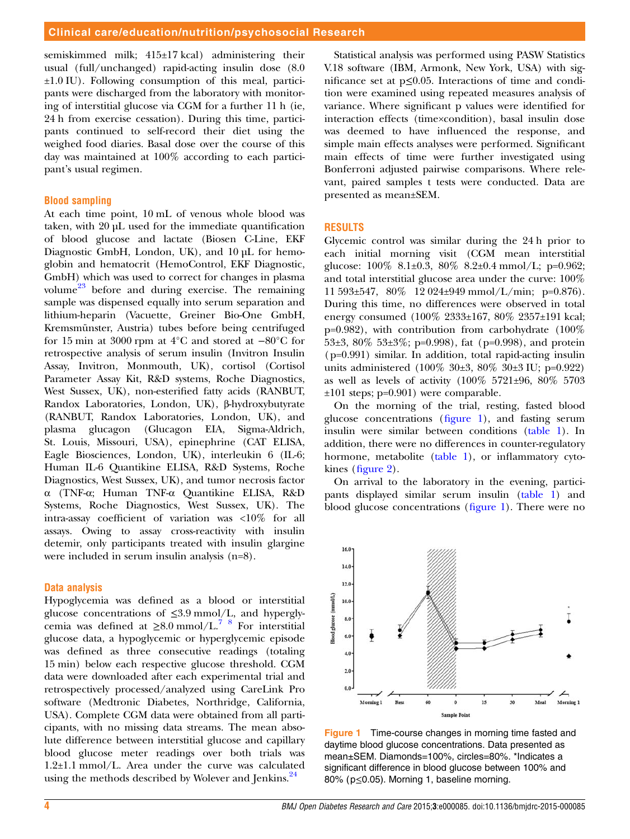<span id="page-4-0"></span>semiskimmed milk; 415±17 kcal) administering their usual (full/unchanged) rapid-acting insulin dose (8.0 ±1.0 IU). Following consumption of this meal, participants were discharged from the laboratory with monitoring of interstitial glucose via CGM for a further 11 h (ie, 24 h from exercise cessation). During this time, participants continued to self-record their diet using the weighed food diaries. Basal dose over the course of this day was maintained at 100% according to each participant's usual regimen.

#### Blood sampling

At each time point, 10 mL of venous whole blood was taken, with 20 µL used for the immediate quantification of blood glucose and lactate (Biosen C-Line, EKF Diagnostic GmbH, London, UK), and 10 µL for hemoglobin and hematocrit (HemoControl, EKF Diagnostic, GmbH) which was used to correct for changes in plasma volume<sup>23</sup> before and during exercise. The remaining sample was dispensed equally into serum separation and lithium-heparin (Vacuette, Greiner Bio-One GmbH, Kremsmünster, Austria) tubes before being centrifuged for 15 min at 3000 rpm at 4°C and stored at −80°C for retrospective analysis of serum insulin (Invitron Insulin Assay, Invitron, Monmouth, UK), cortisol (Cortisol Parameter Assay Kit, R&D systems, Roche Diagnostics, West Sussex, UK), non-esterified fatty acids (RANBUT, Randox Laboratories, London, UK), β-hydroxybutyrate (RANBUT, Randox Laboratories, London, UK), and plasma glucagon (Glucagon EIA, Sigma-Aldrich, St. Louis, Missouri, USA), epinephrine (CAT ELISA, Eagle Biosciences, London, UK), interleukin 6 (IL-6; Human IL-6 Quantikine ELISA, R&D Systems, Roche Diagnostics, West Sussex, UK), and tumor necrosis factor α (TNF-α; Human TNF-α Quantikine ELISA, R&D Systems, Roche Diagnostics, West Sussex, UK). The intra-assay coefficient of variation was <10% for all assays. Owing to assay cross-reactivity with insulin detemir, only participants treated with insulin glargine were included in serum insulin analysis (n=8).

#### Data analysis

Hypoglycemia was defined as a blood or interstitial glucose concentrations of ≤3.9 mmol/L, and hyperglycemia was defined at  $\geq 8.0$  mmol/L.<sup>7</sup> <sup>8</sup> For interstitial glucose data, a hypoglycemic or hyperglycemic episode was defined as three consecutive readings (totaling 15 min) below each respective glucose threshold. CGM data were downloaded after each experimental trial and retrospectively processed/analyzed using CareLink Pro software (Medtronic Diabetes, Northridge, California, USA). Complete CGM data were obtained from all participants, with no missing data streams. The mean absolute difference between interstitial glucose and capillary blood glucose meter readings over both trials was 1.2±1.1 mmol/L. Area under the curve was calculated using the methods described by Wolever and Jenkins.<sup>[24](#page-8-0)</sup>

Statistical analysis was performed using PASW Statistics V.18 software (IBM, Armonk, New York, USA) with significance set at p≤0.05. Interactions of time and condition were examined using repeated measures analysis of variance. Where significant p values were identified for interaction effects (time×condition), basal insulin dose was deemed to have influenced the response, and simple main effects analyses were performed. Significant main effects of time were further investigated using Bonferroni adjusted pairwise comparisons. Where relevant, paired samples t tests were conducted. Data are presented as mean±SEM.

# RESULTS

Glycemic control was similar during the 24 h prior to each initial morning visit (CGM mean interstitial glucose: 100% 8.1±0.3, 80% 8.2±0.4 mmol/L; p=0.962; and total interstitial glucose area under the curve: 100% 11 593±547, 80% 12 024±949 mmol/L/min; p=0.876). During this time, no differences were observed in total energy consumed (100% 2333±167, 80% 2357±191 kcal;  $p=0.982$ ), with contribution from carbohydrate (100%) 53±3, 80% 53±3%; p=0.998), fat (p=0.998), and protein (p=0.991) similar. In addition, total rapid-acting insulin units administered (100% 30±3, 80% 30±3 IU; p=0.922) as well as levels of activity (100% 5721±96, 80% 5703 ±101 steps; p=0.901) were comparable.

On the morning of the trial, resting, fasted blood glucose concentrations (figure 1), and fasting serum insulin were similar between conditions [\(table 1](#page-5-0)). In addition, there were no differences in counter-regulatory hormone, metabolite [\(table 1\)](#page-5-0), or inflammatory cytokines (fi[gure 2\)](#page-6-0).

On arrival to the laboratory in the evening, participants displayed similar serum insulin ([table 1\)](#page-5-0) and blood glucose concentrations (figure 1). There were no



Figure 1 Time-course changes in morning time fasted and daytime blood glucose concentrations. Data presented as mean±SEM. Diamonds=100%, circles=80%. \*Indicates a significant difference in blood glucose between 100% and 80% (p≤0.05). Morning 1, baseline morning.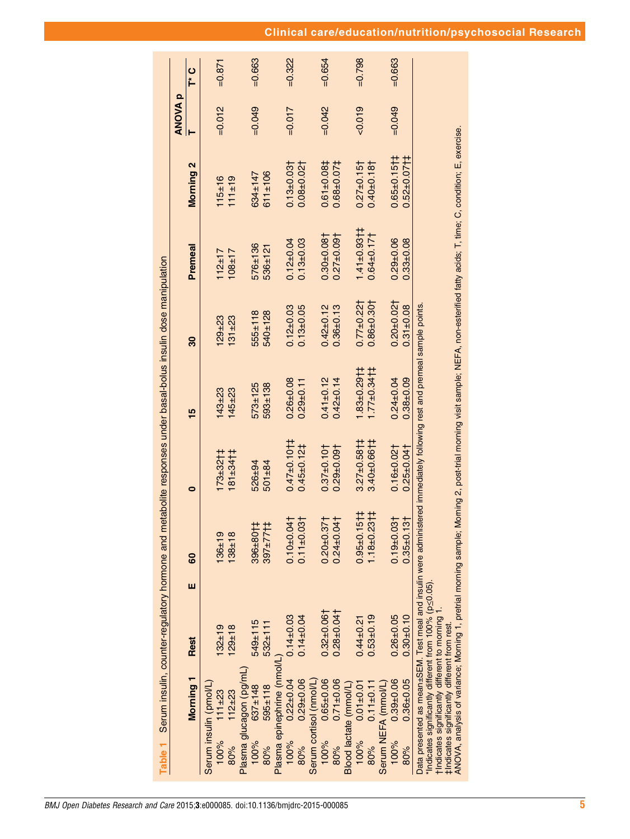<span id="page-5-0"></span>

|          |                                                                                               | Table 1 Serum insulin, counter-regulatory hormone and metabolite responses under basal-bolus insulin dose manipulation                                                             |   |                     |                                                                                                                   |                            |               |                              |                              |                |           |
|----------|-----------------------------------------------------------------------------------------------|------------------------------------------------------------------------------------------------------------------------------------------------------------------------------------|---|---------------------|-------------------------------------------------------------------------------------------------------------------|----------------------------|---------------|------------------------------|------------------------------|----------------|-----------|
|          |                                                                                               |                                                                                                                                                                                    |   |                     |                                                                                                                   |                            |               |                              |                              | <b>ANOVA p</b> |           |
|          | Morning 1                                                                                     | <b>Rest</b>                                                                                                                                                                        | ш | 8                   | 0                                                                                                                 | 15                         | ౚౢ            | Premeal                      | <b>Morning 2</b>             |                | ပ<br>ト    |
|          | Serum insulin (pmol/L)                                                                        |                                                                                                                                                                                    |   |                     |                                                                                                                   |                            |               |                              |                              |                |           |
| 100%     | $111 + 23$                                                                                    | $132 + 19$                                                                                                                                                                         |   | $136 + 19$          | $173 + 32 + 1$                                                                                                    | 43±23                      | $129 + 23$    | $112 + 17$                   | $115 + 16$                   | $=0.012$       | $=0.871$  |
| 80%<br>8 | $112 + 23$                                                                                    | $129 + 18$                                                                                                                                                                         |   | $138 + 18$          | $181 + 341$                                                                                                       | $145 + 23$                 | $131 + 23$    | $108 + 17$                   | $111 \pm 19$                 |                |           |
|          | Plasma glucagon (pg/mL)                                                                       |                                                                                                                                                                                    |   |                     |                                                                                                                   |                            |               |                              |                              |                |           |
| 100%     | $637 + 148$                                                                                   | 549±115                                                                                                                                                                            |   | 396±80†             | 526±94                                                                                                            | 573±125                    | $555 \pm 118$ | 576±136                      | $634 \pm 147$                | $=0.049$       | $=0.663$  |
| 80%      | $595 + 118$                                                                                   | $532 + 111$                                                                                                                                                                        |   | $397 + 771$         | $501 + 84$                                                                                                        | 593±138                    | 540±128       | 536±121                      | $611 \pm 106$                |                |           |
|          | Plasma epinephrine (nmol/l                                                                    |                                                                                                                                                                                    |   |                     |                                                                                                                   |                            |               |                              |                              |                |           |
| 100%     | $0.22 \pm 0.04$                                                                               | $0.14 + 0.03$                                                                                                                                                                      |   | $0.10 + 0.04$       | $0.47 \pm 0.10$                                                                                                   | $0.26 + 0.08$              | $0.12 + 0.03$ | $0.12 \pm 0.04$              | $0.13 + 0.03 +$              | $=0.017$       | $= 0.322$ |
| $80\%$   | $0.29 + 0.06$                                                                                 | $0.14 \pm 0.04$                                                                                                                                                                    |   | $0.11 \pm 0.03$     | $0.45 + 0.121$                                                                                                    | $0.29 + 0.11$              | $0.13 + 0.05$ | $0.13 + 0.03$                | $0.08 + 0.02$                |                |           |
|          | Serum cortisol (nmol/L)                                                                       |                                                                                                                                                                                    |   |                     |                                                                                                                   |                            |               |                              |                              |                |           |
| 100%     | $0.65 \pm 0.06$                                                                               | $0.32 + 0.06$                                                                                                                                                                      |   | $0.20 + 0.37$       | $0.37 \pm 0.10$                                                                                                   | $0.41 + 0.12$              | $0.42 + 0.12$ | $0.30 + 0.08 +$              | $0.61 + 0.081$               | $=0.042$       | $=0.654$  |
| 80%      | $0.71 \pm 0.06$                                                                               | $0.28 + 0.04$                                                                                                                                                                      |   | $0.24 \pm 0.04$     | $0.29 \pm 0.09\dagger$                                                                                            | $0.42 \pm 0.14$            | $0.36 + 0.13$ | $0.27 \pm 0.09$              | $0.68 + 0.071$               |                |           |
|          | Blood lactate (mmol/L)                                                                        |                                                                                                                                                                                    |   |                     |                                                                                                                   |                            |               |                              |                              |                |           |
| 100%     | $0.01 \pm 0.01$                                                                               | $0.44 \pm 0.21$                                                                                                                                                                    |   | $0.95 \pm 0.15$ † ‡ | $3.27 \pm 0.58$ †                                                                                                 | $.83 + 0.29$ <sup>+1</sup> | $0.77 + 0.22$ | $1.41 \pm 0.93$ <sub>1</sub> | $0.27 + 0.15$                | $-0.019$       | $=0.798$  |
| 80%      | $0.11 \pm 0.11$                                                                               | $0.53\pm0.19$                                                                                                                                                                      |   | $1.18 + 0.23 + 1$   | $3.40 \pm 0.66$ †                                                                                                 | $.77 \pm 0.34$             | $0.86 + 0.30$ | $0.64 \pm 0.17$              | $0.40 \pm 0.18$              |                |           |
|          | Serum NEFA (mmol/L)                                                                           |                                                                                                                                                                                    |   |                     |                                                                                                                   |                            |               |                              |                              |                |           |
| 100%     | $0.39 + 0.06$                                                                                 | $0.26 + 0.05$                                                                                                                                                                      |   | $0.19 + 0.03$       | $0.16 + 0.02$                                                                                                     | $0.24 \pm 0.04$            | $0.20 + 0.02$ | $0.29 + 0.06$                | $0.65 \pm 0.15$ <sub>1</sub> | $=0.049$       | $=0.663$  |
| 80%      | $0.36 + 0.05$                                                                                 | $0.30 + 0.10$                                                                                                                                                                      |   | $0.35 + 0.13$       | $0.25 + 0.04$                                                                                                     | $0.38 + 0.09$              | $0.31 + 0.08$ | $0.33 + 0.08$                | $0.52 \pm 0.07$ † ‡          |                |           |
|          | tindicates significantly different to moming<br>#Indicates significantly different from rest. | Data presented as mean±SEM. Test meal and insulin were administered immediately following rest and premeal sample points<br>*Indicates significantly different from 100% (p<0.05). |   |                     |                                                                                                                   |                            |               |                              |                              |                |           |
|          |                                                                                               | ANOVA, analysis of variance; Morning 1, pretrial morning sample;                                                                                                                   |   |                     | Morning 2, post-trial morning visit sample; NEFA, non-esterified fatty acids; T, time; C, condition; E, exercise. |                            |               |                              |                              |                |           |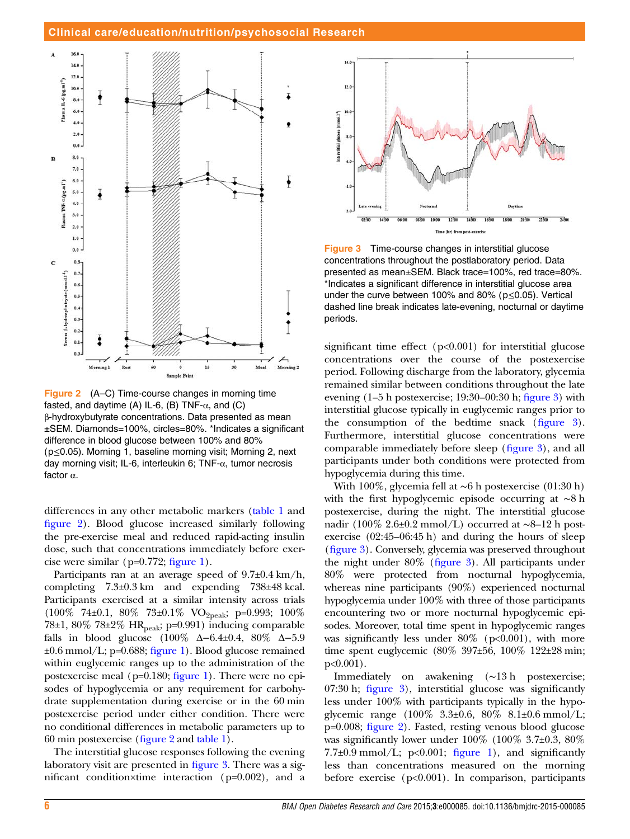<span id="page-6-0"></span>

Figure 2 (A–C) Time-course changes in morning time fasted, and daytime (A) IL-6, (B) TNF- $\alpha$ , and (C) β-hydroxybutyrate concentrations. Data presented as mean ±SEM. Diamonds=100%, circles=80%. \*Indicates a significant difference in blood glucose between 100% and 80% (p≤0.05). Morning 1, baseline morning visit; Morning 2, next day morning visit; IL-6, interleukin 6; TNF-α, tumor necrosis factor α.

differences in any other metabolic markers ([table 1](#page-5-0) and figure 2). Blood glucose increased similarly following the pre-exercise meal and reduced rapid-acting insulin dose, such that concentrations immediately before exercise were similar ( $p=0.772$ ; fi[gure 1\)](#page-4-0).

Participants ran at an average speed of  $9.7\pm0.4$  km/h, completing 7.3±0.3 km and expending 738±48 kcal. Participants exercised at a similar intensity across trials (100% 74±0.1, 80% 73±0.1% VO2peak; p=0.993; 100% 78 $\pm$ 1, 80% 78 $\pm$ 2% HR<sub>peak</sub>; p=0.991) inducing comparable falls in blood glucose (100% Δ−6.4±0.4, 80% Δ−5.9  $\pm 0.6$  mmol/L; p=0.688; fi[gure 1](#page-4-0)). Blood glucose remained within euglycemic ranges up to the administration of the postexercise meal (p=0.180; fi[gure 1](#page-4-0)). There were no episodes of hypoglycemia or any requirement for carbohydrate supplementation during exercise or in the 60 min postexercise period under either condition. There were no conditional differences in metabolic parameters up to 60 min postexercise (figure 2 and [table 1](#page-5-0)).

The interstitial glucose responses following the evening laboratory visit are presented in figure 3. There was a significant condition×time interaction (p=0.002), and a



Figure 3 Time-course changes in interstitial glucose concentrations throughout the postlaboratory period. Data presented as mean±SEM. Black trace=100%, red trace=80%. \*Indicates a significant difference in interstitial glucose area under the curve between 100% and 80% ( $p \le 0.05$ ). Vertical dashed line break indicates late-evening, nocturnal or daytime periods.

significant time effect (p<0.001) for interstitial glucose concentrations over the course of the postexercise period. Following discharge from the laboratory, glycemia remained similar between conditions throughout the late evening (1–5 h postexercise; 19:30–00:30 h; figure 3) with interstitial glucose typically in euglycemic ranges prior to the consumption of the bedtime snack (figure 3). Furthermore, interstitial glucose concentrations were comparable immediately before sleep (figure 3), and all participants under both conditions were protected from hypoglycemia during this time.

With 100%, glycemia fell at ∼6 h postexercise (01:30 h) with the first hypoglycemic episode occurring at ∼8 h postexercise, during the night. The interstitial glucose nadir (100% 2.6±0.2 mmol/L) occurred at ∼8–12 h postexercise (02:45–06:45 h) and during the hours of sleep (figure 3). Conversely, glycemia was preserved throughout the night under 80% (figure 3). All participants under 80% were protected from nocturnal hypoglycemia, whereas nine participants (90%) experienced nocturnal hypoglycemia under 100% with three of those participants encountering two or more nocturnal hypoglycemic episodes. Moreover, total time spent in hypoglycemic ranges was significantly less under  $80\%$  (p<0.001), with more time spent euglycemic (80% 397±56, 100% 122±28 min; p<0.001).

Immediately on awakening (∼13 h postexercise; 07:30 h; figure 3), interstitial glucose was significantly less under 100% with participants typically in the hypoglycemic range (100% 3.3±0.6, 80% 8.1±0.6 mmol/L; p=0.008; figure 2). Fasted, resting venous blood glucose was significantly lower under  $100\%$  ( $100\%$  3.7 $\pm$ 0.3,  $80\%$ )  $7.7\pm0.9$  mmol/L; p<0.001; fi[gure 1\)](#page-4-0), and significantly less than concentrations measured on the morning before exercise  $(p<0.001)$ . In comparison, participants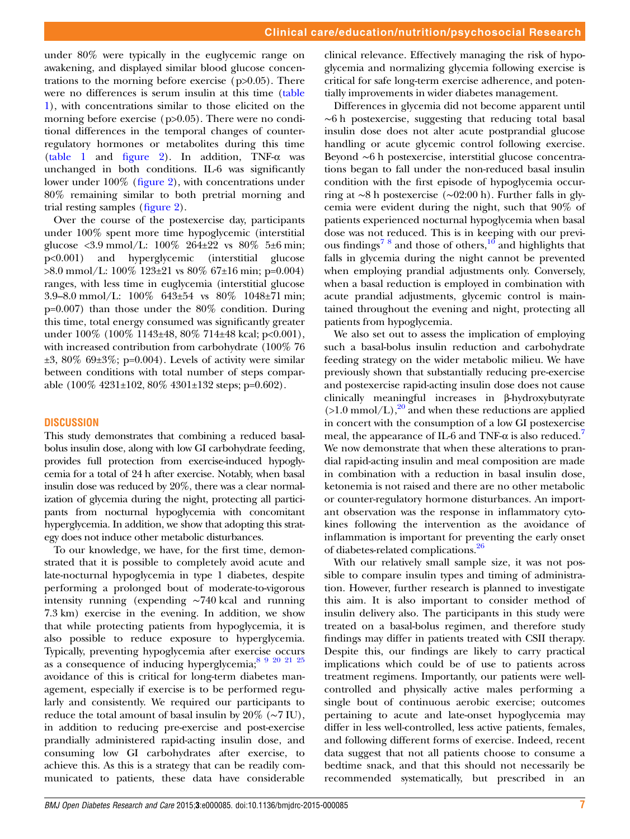under 80% were typically in the euglycemic range on awakening, and displayed similar blood glucose concentrations to the morning before exercise  $(p>0.05)$ . There were no differences is serum insulin at this time [\(table](#page-5-0) [1\)](#page-5-0), with concentrations similar to those elicited on the morning before exercise (p>0.05). There were no conditional differences in the temporal changes of counterregulatory hormones or metabolites during this time [\(table 1](#page-5-0) and fi[gure 2](#page-6-0)). In addition, TNF-α was unchanged in both conditions. IL-6 was significantly lower under 100% (fi[gure 2\)](#page-6-0), with concentrations under 80% remaining similar to both pretrial morning and trial resting samples (fi[gure 2\)](#page-6-0).

Over the course of the postexercise day, participants under 100% spent more time hypoglycemic (interstitial glucose <3.9 mmol/L:  $100\%$  264 $\pm$ 22 vs 80% 5 $\pm$ 6 min; p<0.001) and hyperglycemic (interstitial glucose >8.0 mmol/L: 100% 123±21 vs 80% 67±16 min; p=0.004) ranges, with less time in euglycemia (interstitial glucose 3.9–8.0 mmol/L: 100% 643±54 vs 80% 1048±71 min; p=0.007) than those under the 80% condition. During this time, total energy consumed was significantly greater under 100% (100% 1143±48, 80% 714±48 kcal; p<0.001), with increased contribution from carbohydrate (100% 76  $\pm 3$ , 80% 69 $\pm 3\%$ ; p=0.004). Levels of activity were similar between conditions with total number of steps comparable (100% 4231±102, 80% 4301±132 steps; p=0.602).

#### **DISCUSSION**

This study demonstrates that combining a reduced basalbolus insulin dose, along with low GI carbohydrate feeding, provides full protection from exercise-induced hypoglycemia for a total of 24 h after exercise. Notably, when basal insulin dose was reduced by 20%, there was a clear normalization of glycemia during the night, protecting all participants from nocturnal hypoglycemia with concomitant hyperglycemia. In addition, we show that adopting this strategy does not induce other metabolic disturbances.

To our knowledge, we have, for the first time, demonstrated that it is possible to completely avoid acute and late-nocturnal hypoglycemia in type 1 diabetes, despite performing a prolonged bout of moderate-to-vigorous intensity running (expending ∼740 kcal and running 7.3 km) exercise in the evening. In addition, we show that while protecting patients from hypoglycemia, it is also possible to reduce exposure to hyperglycemia. Typically, preventing hypoglycemia after exercise occurs as a consequence of inducing hyperglycemia;<sup>8 9 20 21 25</sup> avoidance of this is critical for long-term diabetes management, especially if exercise is to be performed regularly and consistently. We required our participants to reduce the total amount of basal insulin by 20% (∼7 IU), in addition to reducing pre-exercise and post-exercise prandially administered rapid-acting insulin dose, and consuming low GI carbohydrates after exercise, to achieve this. As this is a strategy that can be readily communicated to patients, these data have considerable

clinical relevance. Effectively managing the risk of hypoglycemia and normalizing glycemia following exercise is critical for safe long-term exercise adherence, and potentially improvements in wider diabetes management.

Differences in glycemia did not become apparent until ∼6 h postexercise, suggesting that reducing total basal insulin dose does not alter acute postprandial glucose handling or acute glycemic control following exercise. Beyond ∼6 h postexercise, interstitial glucose concentrations began to fall under the non-reduced basal insulin condition with the first episode of hypoglycemia occurring at ∼8 h postexercise (∼02:00 h). Further falls in glycemia were evident during the night, such that 90% of patients experienced nocturnal hypoglycemia when basal dose was not reduced. This is in keeping with our previ-ous findings<sup>78</sup> and those of others,<sup>[10](#page-8-0)</sup> and highlights that falls in glycemia during the night cannot be prevented when employing prandial adjustments only. Conversely, when a basal reduction is employed in combination with acute prandial adjustments, glycemic control is maintained throughout the evening and night, protecting all patients from hypoglycemia.

We also set out to assess the implication of employing such a basal-bolus insulin reduction and carbohydrate feeding strategy on the wider metabolic milieu. We have previously shown that substantially reducing pre-exercise and postexercise rapid-acting insulin dose does not cause clinically meaningful increases in β-hydroxybutyrate  $(>1.0 \text{ mmol/L})$ ,<sup>[20](#page-8-0)</sup> and when these reductions are applied in concert with the consumption of a low GI postexercise meal, the appearance of IL-6 and TNF- $\alpha$  is also reduced.<sup>[7](#page-8-0)</sup> We now demonstrate that when these alterations to prandial rapid-acting insulin and meal composition are made in combination with a reduction in basal insulin dose, ketonemia is not raised and there are no other metabolic or counter-regulatory hormone disturbances. An important observation was the response in inflammatory cytokines following the intervention as the avoidance of inflammation is important for preventing the early onset of diabetes-related complications.<sup>[26](#page-8-0)</sup>

With our relatively small sample size, it was not possible to compare insulin types and timing of administration. However, further research is planned to investigate this aim. It is also important to consider method of insulin delivery also. The participants in this study were treated on a basal-bolus regimen, and therefore study findings may differ in patients treated with CSII therapy. Despite this, our findings are likely to carry practical implications which could be of use to patients across treatment regimens. Importantly, our patients were wellcontrolled and physically active males performing a single bout of continuous aerobic exercise; outcomes pertaining to acute and late-onset hypoglycemia may differ in less well-controlled, less active patients, females, and following different forms of exercise. Indeed, recent data suggest that not all patients choose to consume a bedtime snack, and that this should not necessarily be recommended systematically, but prescribed in an